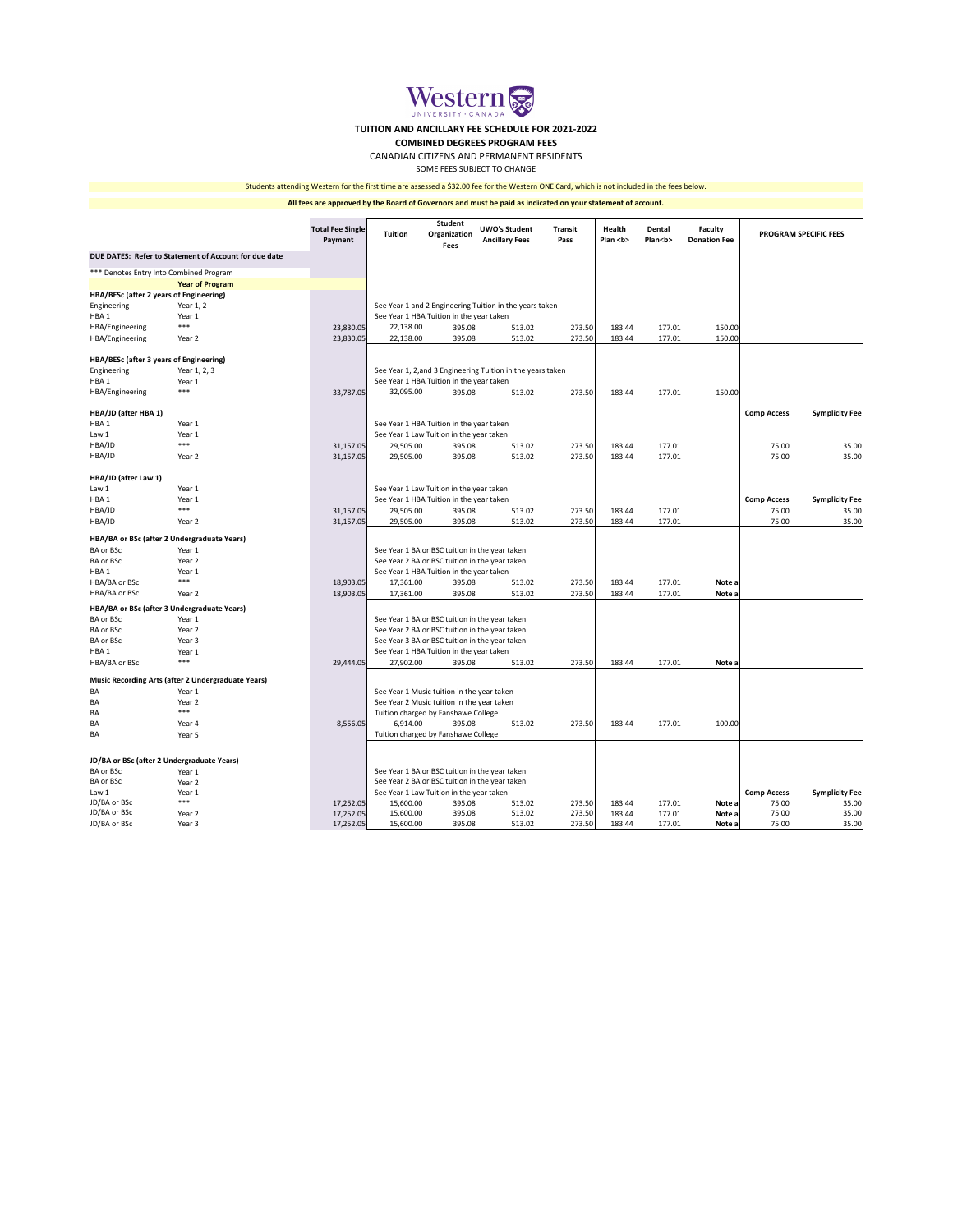|                                                       |                        | <b>Total Fee Single</b><br>Payment | <b>Tuition</b>                                 | <b>Student</b><br>Organization<br><b>Fees</b>  | <b>UWO's Student</b><br><b>Ancillary Fees</b>               | <b>Transit</b><br>Pass | Health<br>Plan <b></b> | <b>Dental</b><br>Plan <b></b> | <b>Faculty</b><br><b>Donation Fee</b> | <b>PROGRAM SPECIFIC FEES</b> |                       |
|-------------------------------------------------------|------------------------|------------------------------------|------------------------------------------------|------------------------------------------------|-------------------------------------------------------------|------------------------|------------------------|-------------------------------|---------------------------------------|------------------------------|-----------------------|
| DUE DATES: Refer to Statement of Account for due date |                        |                                    |                                                |                                                |                                                             |                        |                        |                               |                                       |                              |                       |
| *** Denotes Entry Into Combined Program               |                        |                                    |                                                |                                                |                                                             |                        |                        |                               |                                       |                              |                       |
|                                                       | <b>Year of Program</b> |                                    |                                                |                                                |                                                             |                        |                        |                               |                                       |                              |                       |
| HBA/BESc (after 2 years of Engineering)               |                        |                                    |                                                |                                                |                                                             |                        |                        |                               |                                       |                              |                       |
| Engineering                                           | Year 1, 2              |                                    |                                                |                                                | See Year 1 and 2 Engineering Tuition in the years taken     |                        |                        |                               |                                       |                              |                       |
| HBA <sub>1</sub>                                      | Year 1                 |                                    | See Year 1 HBA Tuition in the year taken       |                                                |                                                             |                        |                        |                               |                                       |                              |                       |
| HBA/Engineering                                       | ***                    | 23,830.05                          | 22,138.00                                      | 395.08                                         | 513.02                                                      | 273.50                 | 183.44                 | 177.01                        | 150.00                                |                              |                       |
| HBA/Engineering                                       | Year 2                 | 23,830.05                          | 22,138.00                                      | 395.08                                         | 513.02                                                      | 273.50                 | 183.44                 | 177.01                        | 150.00                                |                              |                       |
| HBA/BESc (after 3 years of Engineering)               |                        |                                    |                                                |                                                |                                                             |                        |                        |                               |                                       |                              |                       |
| Engineering                                           | Year 1, 2, 3           |                                    |                                                |                                                | See Year 1, 2, and 3 Engineering Tuition in the years taken |                        |                        |                               |                                       |                              |                       |
| HBA <sub>1</sub>                                      | Year 1                 |                                    |                                                | See Year 1 HBA Tuition in the year taken       |                                                             |                        |                        |                               |                                       |                              |                       |
| HBA/Engineering                                       | ***                    | 33,787.05                          | 32,095.00                                      | 395.08                                         | 513.02                                                      | 273.50                 | 183.44                 | 177.01                        | 150.00                                |                              |                       |
| HBA/JD (after HBA 1)                                  |                        |                                    |                                                |                                                |                                                             |                        |                        |                               |                                       | <b>Comp Access</b>           | <b>Symplicity Fee</b> |
| HBA <sub>1</sub>                                      | Year 1                 |                                    |                                                | See Year 1 HBA Tuition in the year taken       |                                                             |                        |                        |                               |                                       |                              |                       |
| Law 1                                                 | Year 1                 |                                    |                                                | See Year 1 Law Tuition in the year taken       |                                                             |                        |                        |                               |                                       |                              |                       |
| HBA/JD                                                | ***                    | 31,157.05                          | 29,505.00                                      | 395.08                                         | 513.02                                                      | 273.50                 | 183.44                 | 177.01                        |                                       | 75.00                        | 35.00                 |
| HBA/JD                                                | Year 2                 | 31,157.05                          | 29,505.00                                      | 395.08                                         | 513.02                                                      | 273.50                 | 183.44                 | 177.01                        |                                       | 75.00                        | 35.00                 |
| HBA/JD (after Law 1)                                  |                        |                                    |                                                |                                                |                                                             |                        |                        |                               |                                       |                              |                       |
| Law 1                                                 | Year 1                 |                                    | See Year 1 Law Tuition in the year taken       |                                                |                                                             |                        |                        |                               |                                       |                              |                       |
| HBA1                                                  | Year 1                 |                                    | See Year 1 HBA Tuition in the year taken       |                                                |                                                             |                        |                        | <b>Comp Access</b>            | <b>Symplicity Fee</b>                 |                              |                       |
| HBA/JD                                                | ***                    | 31,157.05                          | 29,505.00                                      | 395.08                                         | 513.02                                                      | 273.50                 | 183.44                 | 177.01                        |                                       | 75.00                        | 35.00                 |
| HBA/JD                                                | Year 2                 | 31,157.05                          | 29,505.00                                      | 395.08                                         | 513.02                                                      | 273.50                 | 183.44                 | 177.01                        |                                       | 75.00                        | 35.00                 |
| HBA/BA or BSc (after 2 Undergraduate Years)           |                        |                                    |                                                |                                                |                                                             |                        |                        |                               |                                       |                              |                       |
| BA or BSc                                             | Year 1                 |                                    |                                                | See Year 1 BA or BSC tuition in the year taken |                                                             |                        |                        |                               |                                       |                              |                       |
| <b>BA or BSc</b>                                      | Year 2                 |                                    | See Year 2 BA or BSC tuition in the year taken |                                                |                                                             |                        |                        |                               |                                       |                              |                       |
| HBA1                                                  | Year 1                 |                                    | See Year 1 HBA Tuition in the year taken       |                                                |                                                             |                        |                        |                               |                                       |                              |                       |
| HBA/BA or BSc                                         | ***                    | 18,903.05                          | 17,361.00                                      | 395.08                                         | 513.02                                                      | 273.50                 | 183.44                 | 177.01                        | Note a                                |                              |                       |
| HBA/BA or BSc                                         | Year 2                 | 18,903.05                          | 17,361.00                                      | 395.08                                         | 513.02                                                      | 273.50                 | 183.44                 | 177.01                        | Note a                                |                              |                       |
| HBA/BA or BSc (after 3 Undergraduate Years)           |                        |                                    |                                                |                                                |                                                             |                        |                        |                               |                                       |                              |                       |
| BA or BSc                                             | Year 1                 |                                    |                                                | See Year 1 BA or BSC tuition in the year taken |                                                             |                        |                        |                               |                                       |                              |                       |
| <b>BA or BSc</b>                                      | Year 2                 |                                    | See Year 2 BA or BSC tuition in the year taken |                                                |                                                             |                        |                        |                               |                                       |                              |                       |
| <b>BA or BSc</b>                                      | Year 3                 |                                    | See Year 3 BA or BSC tuition in the year taken |                                                |                                                             |                        |                        |                               |                                       |                              |                       |
| HBA1                                                  | Year 1                 |                                    | See Year 1 HBA Tuition in the year taken       |                                                |                                                             |                        |                        |                               |                                       |                              |                       |
| HBA/BA or BSc                                         | ***                    | 29,444.05                          | 27,902.00                                      | 395.08                                         | 513.02                                                      | 273.50                 | 183.44                 | 177.01                        | Note a                                |                              |                       |

| <b>Music Recording Arts (after 2 Undergraduate Years)</b> |        |           |                                                |        |        |        |                    |                       |         |       |       |
|-----------------------------------------------------------|--------|-----------|------------------------------------------------|--------|--------|--------|--------------------|-----------------------|---------|-------|-------|
| BA                                                        | Year 1 |           | See Year 1 Music tuition in the year taken     |        |        |        |                    |                       |         |       |       |
| BA                                                        | Year 2 |           | See Year 2 Music tuition in the year taken     |        |        |        |                    |                       |         |       |       |
| BA                                                        | ***    |           | Tuition charged by Fanshawe College            |        |        |        |                    |                       |         |       |       |
| BA                                                        | Year 4 | 8,556.05  | 6,914.00                                       | 395.08 | 513.02 | 273.50 | 183.44             | 177.01                | 100.00  |       |       |
| <b>BA</b>                                                 | Year 5 |           | Tuition charged by Fanshawe College            |        |        |        |                    |                       |         |       |       |
|                                                           |        |           |                                                |        |        |        |                    |                       |         |       |       |
| JD/BA or BSc (after 2 Undergraduate Years)                |        |           |                                                |        |        |        |                    |                       |         |       |       |
| BA or BSc                                                 | Year 1 |           | See Year 1 BA or BSC tuition in the year taken |        |        |        |                    |                       |         |       |       |
| BA or BSc                                                 | Year 2 |           | See Year 2 BA or BSC tuition in the year taken |        |        |        |                    |                       |         |       |       |
| Law 1                                                     | Year 1 |           | See Year 1 Law Tuition in the year taken       |        |        |        | <b>Comp Access</b> | <b>Symplicity Fee</b> |         |       |       |
| JD/BA or BSc                                              | ***    | 17,252.05 | 15,600.00                                      | 395.08 | 513.02 | 273.50 | 183.44             | 177.01                | Note a  | 75.00 | 35.00 |
| JD/BA or BSc                                              | Year 2 | 17,252.05 | 15,600.00                                      | 395.08 | 513.02 | 273.50 | 183.44             | 177.01                | Note a  | 75.00 | 35.00 |
| JD/BA or BSc                                              | Year 3 | 17,252.05 | 15,600.00                                      | 395.08 | 513.02 | 273.50 | 183.44             | 177.01                | Note al | 75.00 | 35.00 |

**All fees are approved by the Board of Governors and must be paid as indicated on your statement of account.**

# Students attending Western for the first time are assessed a \$32.00 fee for the Western ONE Card, which is not included in the fees below.

SOME FEES SUBJECT TO CHANGE

CANADIAN CITIZENS AND PERMANENT RESIDENTS

# **COMBINED DEGREES PROGRAM FEES**



# **TUITION AND ANCILLARY FEE SCHEDULE FOR 2021-2022**